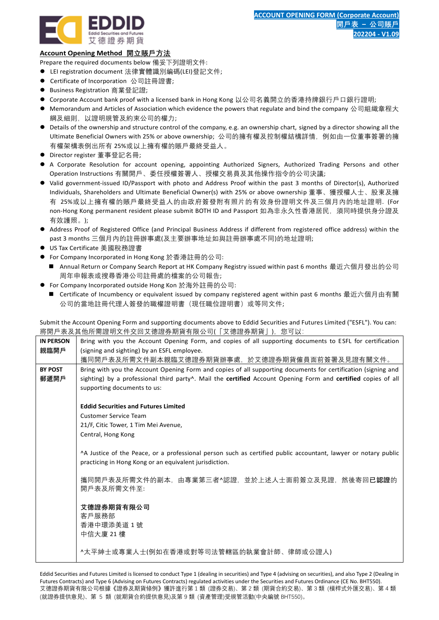



## **Account Opening Method 開立賬戶方法**

Prepare the required documents below 備妥下列證明文件:

- LEI registration document 法律實體識別編碼(LEI)登記文件;
- ⚫ Certificate of Incorporation 公司註冊證書;
- Business Registration 商業登記證;
- Corporate Account bank proof with a licensed bank in Hong Kong 以公司名義開立的香港持牌銀行戶口銀行證明;
- Memorandum and Articles of Association which evidence the powers that regulate and bind the company 公司組織章程大 綱及細則,以證明規管及約束公司的權力;
- ⚫ Details of the ownership and structure control of the company, e.g. an ownership chart, signed by a director showing all the Ultimate Beneficial Owners with 25% or above ownership; 公司的擁有權及控制權結構詳情, 例如由一位董事簽署的擁 有權架構表例出所有 25%或以上擁有權的賬戶最終受益人。
- ⚫ Director register 董事登記名冊;
- ⚫ A Corporate Resolution for account opening, appointing Authorized Signers, Authorized Trading Persons and other Operation Instructions 有關開戶、委任授權簽署人、授權交易員及其他操作指令的公司決議;
- ⚫ Valid government-issued ID/Passport with photo and Address Proof within the past 3 months of Director(s), Authorized Individuals, Shareholders and Ultimate Beneficial Owner(s) with 25% or above ownership 董事、獲授權人士、股東及擁 有 25%或以上擁有權的賬戶最終受益人的由政府簽發附有照片的有效身份證明文件及三個月內的地址證明. (For non-Hong Kong permanent resident please submit BOTH ID and Passport 如為非永久性香港居民,須同時提供身分證及 有效護照。);
- ⚫ Address Proof of Registered Office (and Principal Business Address if different from registered office address) within the past 3 months 三個月內的註冊辦事處(及主要辦事地址如與註冊辦事處不同)的地址證明;
- ⚫ US Tax Certificate 美國稅務證書
- ⚫ For Company Incorporated in Hong Kong 於香港註冊的公司:
	- Annual Return or Company Search Report at HK Company Registry issued within past 6 months 最近六個月發出的公司 周年申報表或搜尋香港公司註冊處的檔案的公司報告;
- ⚫ For Company Incorporated outside Hong Kon 於海外註冊的公司:
	- Certificate of Incumbency or equivalent issued by company registered agent within past 6 months 最近六個月由有關 公司的當地註冊代理人簽發的職權證明書(現任職位證明書)或等同文件;

Submit the Account Opening Form and supporting documents above to Eddid Securities and Futures Limited ("ESFL"). You can: 將開戶表及其他所需證明文件交回艾德證券期貨有限公司(「艾德證券期貨」)。您可以:

|                  | ハリハリノ べヘ六心ノハ   リロエ!ソコへ    入口 入   2はフJ ハリ只 ロ 「ハ ム ーフ \   入   2  はフj ハリ只」 /, 「心 J   ハ ・                          |
|------------------|----------------------------------------------------------------------------------------------------------------|
| <b>IN PERSON</b> | Bring with you the Account Opening Form, and copies of all supporting documents to ESFL for certification      |
| 親臨開戶             | (signing and sighting) by an ESFL employee.                                                                    |
|                  | 攜同開戶表及所需文件副本親臨艾德證券期貨辦事處,於艾德證券期貨僱員面前簽署及見證有關文件。                                                                  |
| <b>BY POST</b>   | Bring with you the Account Opening Form and copies of all supporting documents for certification (signing and  |
| 郵遞開戶             | sighting) by a professional third party^. Mail the certified Account Opening Form and certified copies of all  |
|                  | supporting documents to us:                                                                                    |
|                  |                                                                                                                |
|                  | <b>Eddid Securities and Futures Limited</b>                                                                    |
|                  | <b>Customer Service Team</b>                                                                                   |
|                  | 21/F, Citic Tower, 1 Tim Mei Avenue,                                                                           |
|                  | Central, Hong Kong                                                                                             |
|                  |                                                                                                                |
|                  | ^A Justice of the Peace, or a professional person such as certified public accountant, lawyer or notary public |
|                  | practicing in Hong Kong or an equivalent jurisdiction.                                                         |
|                  |                                                                                                                |
|                  | 攜同開戶表及所需文件的副本,由專業第三者^認證,並於上述人士面前簽立及見證,然後寄回已認證的                                                                 |
|                  | 開戶表及所需文件至:                                                                                                     |
|                  |                                                                                                                |
|                  | 艾德證券期貨有限公司                                                                                                     |
|                  | 客戶服務部                                                                                                          |
|                  | 香港中環添美道 1號                                                                                                     |
|                  | 中信大廈 21 樓                                                                                                      |
|                  |                                                                                                                |
|                  | ^太平紳士或專業人士(例如在香港或對等司法管轄區的執業會計師、律師或公證人)                                                                         |
|                  |                                                                                                                |

Eddid Securities and Futures Limited is licensed to conduct Type 1 (dealing in securities) and Type 4 (advising on securities), and also Type 2 (Dealing in Futures Contracts) and Type 6 (Advising on Futures Contracts) regulated activities under the Securities and Futures Ordinance (CE No. BHT550). 艾德證券期貨有限公司根據《證券及期貨條例》獲許進行第 1 類 (證券交易)、第 2 類 (期貨合約交易)、第 3 類 (槓桿式外匯交易)、第 4 類 (就證券提供意見)、第 5 類 (就期貨合約提供意見)及第 9 類 (資產管理)受規管活動(中央編號 BHT550)。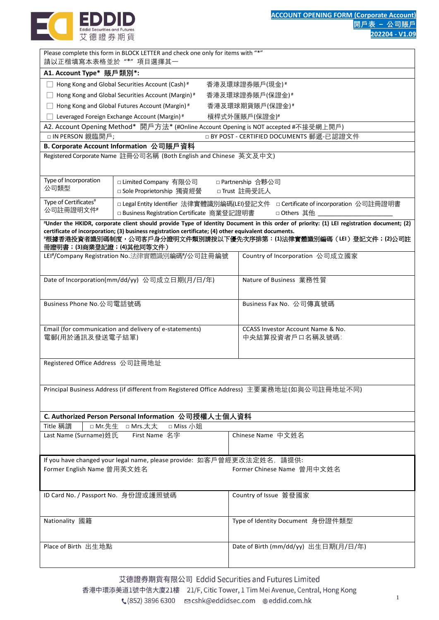

| Please complete this form in BLOCK LETTER and check one only for items with "*"<br>請以正楷填寫本表格並於"*"項目選擇其一 |                                                                                                      |                                                                                                                                           |  |  |  |  |
|---------------------------------------------------------------------------------------------------------|------------------------------------------------------------------------------------------------------|-------------------------------------------------------------------------------------------------------------------------------------------|--|--|--|--|
| A1. Account Type* 賬戶類別*:                                                                                |                                                                                                      |                                                                                                                                           |  |  |  |  |
| Hong Kong and Global Securities Account (Cash) #<br>香港及環球證券賬戶(現金)#                                      |                                                                                                      |                                                                                                                                           |  |  |  |  |
|                                                                                                         | Hong Kong and Global Securities Account (Margin)#                                                    | 香港及環球證券賬戶(保證金)#                                                                                                                           |  |  |  |  |
|                                                                                                         | Hong Kong and Global Futures Account (Margin)#                                                       | 香港及環球期貨賬戶(保證金)#                                                                                                                           |  |  |  |  |
|                                                                                                         | Leveraged Foreign Exchange Account (Margin)#                                                         | 槓桿式外匯賬戶(保證金)#                                                                                                                             |  |  |  |  |
|                                                                                                         | A2. Account Opening Method* 開戶方法* (#Online Account Opening is NOT accepted #不接受網上開戶)                 |                                                                                                                                           |  |  |  |  |
| □ IN PERSON 親臨開戶;                                                                                       |                                                                                                      | □ BY POST - CERTIFIED DOCUMENTS 郵遞-已認證文件                                                                                                  |  |  |  |  |
|                                                                                                         | B. Corporate Account Information 公司賬戶資料                                                              |                                                                                                                                           |  |  |  |  |
|                                                                                                         | Registered Corporate Name 註冊公司名稱 (Both English and Chinese 英文及中文)                                    |                                                                                                                                           |  |  |  |  |
| Type of Incorporation<br>公司類型                                                                           | □ Limited Company 有限公司<br>□ Sole Proprietorship 獨資經營                                                 | □ Partnership 合夥公司<br>□ Trust 註冊受託人                                                                                                       |  |  |  |  |
| Type of Certificates <sup>#</sup><br>公司註冊證明文件                                                           | □ Business Registration Certificate 商業登記證明書                                                          | □ Legal Entity Identifier 法律實體識別編碼(LEI)登記文件 □ Certificate of incorporation 公司註冊證明書<br>□ Others 其他                                         |  |  |  |  |
|                                                                                                         |                                                                                                      | "Under the HKIDR, corporate client should provide Type of Identity Document in this order of priority: (1) LEI registration document; (2) |  |  |  |  |
| 冊證明書; (3)商業登記證; (4)其他同等文件)                                                                              | certificate of incorporation; (3) business registration certificate; (4) other equivalent documents. | "根據香港投資者識別碼制度,公司客戶身分證明文件類別請按以下優先次序排第:(1)法律實體識別編碼(LEI)登記文件;(2)公司註                                                                          |  |  |  |  |
|                                                                                                         | LEI#/Company Registration No.法律實體識別編碼*/公司註冊編號                                                        | Country of Incorporation 公司成立國家                                                                                                           |  |  |  |  |
|                                                                                                         | Date of Incorporation(mm/dd/yy) 公司成立日期(月/日/年)                                                        | Nature of Business 業務性質                                                                                                                   |  |  |  |  |
| Business Phone No.公司電話號碼                                                                                |                                                                                                      | Business Fax No. 公司傳真號碼                                                                                                                   |  |  |  |  |
| 電郵(用於通訊及發送電子結單)                                                                                         | Email (for communication and delivery of e-statements)                                               | <b>CCASS Investor Account Name &amp; No.</b><br>中央結算投資者戶口名稱及號碼:                                                                           |  |  |  |  |
| Registered Office Address 公司註冊地址                                                                        |                                                                                                      |                                                                                                                                           |  |  |  |  |
| Principal Business Address (if different from Registered Office Address) 主要業務地址(如與公司註冊地址不同)             |                                                                                                      |                                                                                                                                           |  |  |  |  |
|                                                                                                         | C. Authorized Person Personal Information 公司授權人士個人資料                                                 |                                                                                                                                           |  |  |  |  |
| Title 稱謂<br>□ Mr.先生                                                                                     | □ Mrs.太太<br>□ Miss 小姐                                                                                |                                                                                                                                           |  |  |  |  |
| Last Name (Surname)姓氏                                                                                   | First Name 名字                                                                                        | Chinese Name 中文姓名                                                                                                                         |  |  |  |  |
|                                                                                                         | If you have changed your legal name, please provide: 如客戶曾經更改法定姓名, 請提供:                               |                                                                                                                                           |  |  |  |  |
| Former English Name 曾用英文姓名                                                                              |                                                                                                      | Former Chinese Name 曾用中文姓名                                                                                                                |  |  |  |  |
| ID Card No. / Passport No. 身份證或護照號碼                                                                     |                                                                                                      | Country of Issue 簽發國家                                                                                                                     |  |  |  |  |
|                                                                                                         |                                                                                                      |                                                                                                                                           |  |  |  |  |
| Nationality 國籍                                                                                          |                                                                                                      | Type of Identity Document 身份證件類型                                                                                                          |  |  |  |  |
| Place of Birth 出生地點                                                                                     |                                                                                                      | Date of Birth (mm/dd/yy) 出生日期(月/日/年)                                                                                                      |  |  |  |  |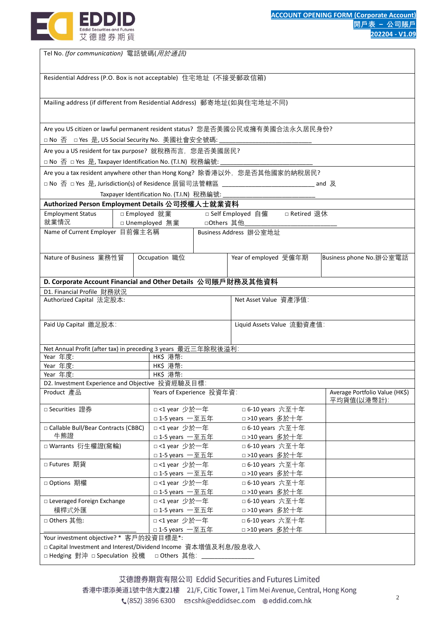

| Tel No. (for communication) 電話號碼( <i>用於通訊</i> )                                                    |  |                                           |  |                                               |  |                                               |
|----------------------------------------------------------------------------------------------------|--|-------------------------------------------|--|-----------------------------------------------|--|-----------------------------------------------|
|                                                                                                    |  |                                           |  |                                               |  |                                               |
|                                                                                                    |  |                                           |  |                                               |  |                                               |
| Residential Address (P.O. Box is not acceptable) 住宅地址 (不接受郵政信箱)                                    |  |                                           |  |                                               |  |                                               |
| Mailing address (if different from Residential Address) 郵寄地址(如與住宅地址不同)                             |  |                                           |  |                                               |  |                                               |
|                                                                                                    |  |                                           |  |                                               |  |                                               |
|                                                                                                    |  |                                           |  |                                               |  |                                               |
| Are you US citizen or lawful permanent resident status? 您是否美國公民或擁有美國合法永久居民身份?                      |  |                                           |  |                                               |  |                                               |
|                                                                                                    |  |                                           |  |                                               |  |                                               |
| Are you a US resident for tax purpose? 就稅務而言, 您是否美國居民?                                             |  |                                           |  |                                               |  |                                               |
| □ No  否 □ Yes  是, Taxpayer Identification No. (T.I.N)  稅務編號: _______                               |  |                                           |  |                                               |  |                                               |
| Are you a tax resident anywhere other than Hong Kong? 除香港以外, 您是否其他國家的納稅居民?                         |  |                                           |  |                                               |  |                                               |
| □ No  否  □ Yes  是, Jurisdiction(s) of Residence 居留司法管轄區  __________________________________ and  及 |  |                                           |  |                                               |  |                                               |
|                                                                                                    |  | Taxpayer Identification No. (T.I.N) 稅務編號: |  |                                               |  |                                               |
| Authorized Person Employment Details 公司授權人士就業資料                                                    |  |                                           |  |                                               |  |                                               |
| Employment Status                                                                                  |  |                                           |  | □ Employed 就業 □ Self Employed 自僱 □ Retired 退休 |  |                                               |
| 就業情況                                                                                               |  | □ Unemployed  無業    □Others  其他_          |  |                                               |  |                                               |
| Name of Current Employer 目前僱主名稱                                                                    |  |                                           |  | Business Address 辦公室地址                        |  |                                               |
|                                                                                                    |  |                                           |  |                                               |  |                                               |
|                                                                                                    |  |                                           |  |                                               |  |                                               |
| Nature of Business 業務性質                                                                            |  | Occupation 職位                             |  | Year of employed 受僱年期                         |  | Business phone No.辦公室電話                       |
|                                                                                                    |  |                                           |  |                                               |  |                                               |
| D. Corporate Account Financial and Other Details 公司賬戶財務及其他資料                                       |  |                                           |  |                                               |  |                                               |
| D1. Financial Profile 財務狀況                                                                         |  |                                           |  |                                               |  |                                               |
| Authorized Capital 法定股本:                                                                           |  |                                           |  | Net Asset Value 資產淨值:                         |  |                                               |
|                                                                                                    |  |                                           |  |                                               |  |                                               |
|                                                                                                    |  |                                           |  |                                               |  |                                               |
| Paid Up Capital 繳足股本:                                                                              |  |                                           |  | Liquid Assets Value 流動資產值:                    |  |                                               |
|                                                                                                    |  |                                           |  |                                               |  |                                               |
| Net Annual Profit (after tax) in preceding 3 years 最近三年除税後溢利:                                      |  |                                           |  |                                               |  |                                               |
| Year 年度:                                                                                           |  | HK\$ 港幣:                                  |  |                                               |  |                                               |
| Year 年度:                                                                                           |  | HK\$ 港幣:                                  |  |                                               |  |                                               |
| Year 年度:                                                                                           |  | HK\$ 港幣:                                  |  |                                               |  |                                               |
| D2. Investment Experience and Objective 投資經驗及目標:                                                   |  |                                           |  |                                               |  |                                               |
| Product 產品<br>Years of Experience 投資年資:                                                            |  |                                           |  |                                               |  | Average Portfolio Value (HK\$)<br>平均貨值(以港幣計): |
| □ Securities 證券                                                                                    |  | □<1 year 少於一年                             |  | □ 6-10 years 六至十年                             |  |                                               |
|                                                                                                    |  | □ 1-5 years 一至五年                          |  | □ >10 years 多於十年                              |  |                                               |
| □ Callable Bull/Bear Contracts (CBBC)<br>牛熊證                                                       |  | □<1 year 少於一年                             |  | □ 6-10 years 六至十年                             |  |                                               |
| □ Warrants 衍生權證(窩輪)                                                                                |  | □ 1-5 years 一至五年<br>□<1 year 少於一年         |  | □ >10 years 多於十年<br>□ 6-10 years 六至十年         |  |                                               |
|                                                                                                    |  | □ 1-5 years 一至五年                          |  | □ >10 years 多於十年                              |  |                                               |
| □ Futures 期貨                                                                                       |  | □<1 year 少於一年                             |  | □ 6-10 years 六至十年                             |  |                                               |
|                                                                                                    |  | □ 1-5 years 一至五年                          |  | □ >10 years 多於十年                              |  |                                               |
| □ Options 期權                                                                                       |  | □<1 year 少於一年                             |  | □ 6-10 years 六至十年                             |  |                                               |
|                                                                                                    |  | □ 1-5 years 一至五年                          |  | □ >10 years 多於十年                              |  |                                               |
| □ Leveraged Foreign Exchange                                                                       |  | □<1 year 少於一年                             |  | □ 6-10 years 六至十年                             |  |                                               |
| 槓桿式外匯                                                                                              |  | □ 1-5 years 一至五年                          |  | □ >10 years 多於十年                              |  |                                               |
| □ Others 其他:                                                                                       |  | □<1 year 少於一年                             |  | □ 6-10 years 六至十年                             |  |                                               |
| □ 1-5 years 一至五年                                                                                   |  |                                           |  | □ >10 years 多於十年                              |  |                                               |
| Your investment objective? * 客戶的投資目標是*:                                                            |  |                                           |  |                                               |  |                                               |
| □ Capital Investment and Interest/Dividend Income 資本增值及利息/股息收入                                     |  |                                           |  |                                               |  |                                               |
| □ Hedging 對沖 □ Speculation 投機<br>□ Others 其他:                                                      |  |                                           |  |                                               |  |                                               |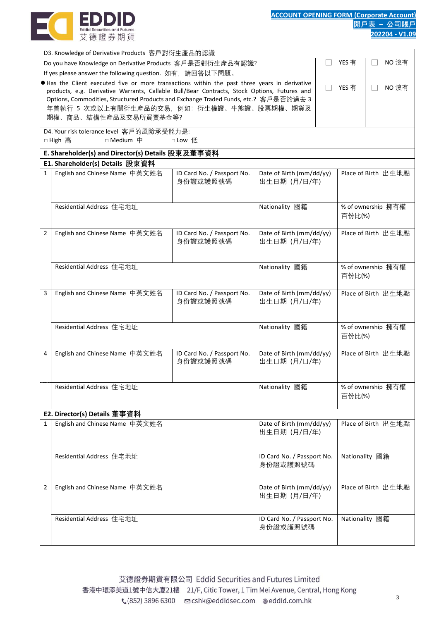

D3. Knowledge of Derivative Products 客戶對衍生產品的認識 Do you have Knowledge on Derivative Products 客戶是否對衍生產品有認識? If yes please answer the following question. 如有,請回答以下問題。 ⚫ Has the Client executed five or more transactions within the past three years in derivative products, e.g. Derivative Warrants, Callable Bull/Bear Contracts, Stock Options, Futures and Options, Commodities, Structured Products and Exchange Traded Funds, etc.? 客戶是否於過去 3 年曾執行 5 次或以上有關衍生產品的交易,例如:衍生權證、牛熊證、股票期權、期貨及 期權、商品、結構性產品及交易所買賣基金等? □ YES 有 □ YES 有 □ NO 沒有 □ NO 沒有 D4. Your risk tolerance level 客戶的風險承受能力是: □ High 高 □ Medium 中 □ Low 低 **E. Shareholder(s) and Director(s) Details 股東及董事資料 E1. Shareholder(s) Details 股東資料** 1 English and Chinese Name 中英文姓名 ID Card No. / Passport No. 身份證或護照號碼 Date of Birth (mm/dd/yy) 出生日期 (月/日/年) Place of Birth 出生地點 Residential Address 住宅地址 インタンド インタンド インタンド Nationality 國籍 インタント しゃくん 物有權 百份比(%) 2 | English and Chinese Name 中英文姓名 | ID Card No. / Passport No. 身份證或護照號碼 Date of Birth (mm/dd/yy) 出生日期 (月/日/年) Place of Birth 出生地點 Residential Address(主宅地址 Nationality 國籍 Nationality 國籍 Nationality 國籍 Nationality 國籍 Nationality 國籍 Nationality 國籍 Nationality 國籍 Nationality 國籍 Nationality 國籍 Nationality 國籍 Nationality 國籍 Nationality Mathematical Disk o 百份比(%) 3 | English and Chinese Name 中英文姓名 | ID Card No. / Passport No. 身份證或護照號碼 Date of Birth (mm/dd/yy) 出生日期 (月/日/年) Place of Birth 出生地點 Residential Address 住宅地址 Nationality 國籍 Nationality 國籍 Nationality 國籍 Nationality 國籍 Nationality 國籍 N 百份比(%) 4 | English and Chinese Name 中英文姓名 | ID Card No. / Passport No. 身份證或護照號碼 Date of Birth (mm/dd/yy) 出生日期 (月/日/年) Place of Birth 出生地點 Residential Address 住宅地址 インタントン インタントリー Nationality 國籍 インタントン しゃくん うちょう 擦有權 百份比(%) **E2. Director(s) Details 董事資料** 1 English and Chinese Name 中英文姓名 Date of Birth (mm/dd/yy) 出生日期 (月/日/年) Place of Birth 出生地點 Residential Address 住宅地址 **ID Card No. / Passport No.** 身份證或護照號碼 Nationality 國籍 2 English and Chinese Name 中英文姓名 Date of Birth (mm/dd/yy) 出生日期 (月/日/年) Place of Birth 出生地點 Residential Address 住宅地址 **ID Card No. / Passport No.** 身份證或護照號碼 Nationality 國籍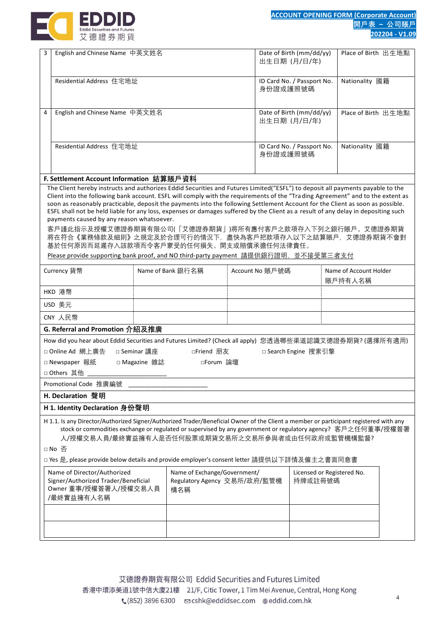

**202204 - V1.09**

| 3                                                                                                                                                                                                                                                                                                                                                                                                                                                                                                                                                                                                                                                                                                                                                                                                                                                                                         | English and Chinese Name 中英文姓名                                                                            |               |                                                                     |  | 出生日期 (月/日/年)    | Date of Birth (mm/dd/yy)                 | Place of Birth 出生地點    |  |
|-------------------------------------------------------------------------------------------------------------------------------------------------------------------------------------------------------------------------------------------------------------------------------------------------------------------------------------------------------------------------------------------------------------------------------------------------------------------------------------------------------------------------------------------------------------------------------------------------------------------------------------------------------------------------------------------------------------------------------------------------------------------------------------------------------------------------------------------------------------------------------------------|-----------------------------------------------------------------------------------------------------------|---------------|---------------------------------------------------------------------|--|-----------------|------------------------------------------|------------------------|--|
|                                                                                                                                                                                                                                                                                                                                                                                                                                                                                                                                                                                                                                                                                                                                                                                                                                                                                           | Residential Address 住宅地址                                                                                  |               |                                                                     |  | 身份證或護照號碼        | ID Card No. / Passport No.               | Nationality 國籍         |  |
| 4                                                                                                                                                                                                                                                                                                                                                                                                                                                                                                                                                                                                                                                                                                                                                                                                                                                                                         | English and Chinese Name 中英文姓名                                                                            |               |                                                                     |  |                 | Date of Birth (mm/dd/yy)<br>出生日期 (月/日/年) | Place of Birth 出生地點    |  |
|                                                                                                                                                                                                                                                                                                                                                                                                                                                                                                                                                                                                                                                                                                                                                                                                                                                                                           | Residential Address 住宅地址                                                                                  |               |                                                                     |  | 身份證或護照號碼        | ID Card No. / Passport No.               | Nationality 國籍         |  |
|                                                                                                                                                                                                                                                                                                                                                                                                                                                                                                                                                                                                                                                                                                                                                                                                                                                                                           |                                                                                                           |               |                                                                     |  |                 |                                          |                        |  |
| F. Settlement Account Information 結算賬戶資料<br>The Client hereby instructs and authorizes Eddid Securities and Futures Limited("ESFL") to deposit all payments payable to the<br>Client into the following bank account. ESFL will comply with the requirements of the "Trading Agreement" and to the extent as<br>soon as reasonably practicable, deposit the payments into the following Settlement Account for the Client as soon as possible.<br>ESFL shall not be held liable for any loss, expenses or damages suffered by the Client as a result of any delay in depositing such<br>payments caused by any reason whatsoever.<br>客戶謹此指示及授權艾德證券期貨有限公司(「艾德證券期貨」)將所有應付客戶之款項存入下列之銀行賬戶。艾德證券期貨<br>将在符合《業務條款及細則》之規定及於合理可行的情況下,盡快為客戶把款項存入以下之結算賬戶,艾德證券期貨不會對<br>基於任何原因而延遲存入該款項而令客戶蒙受的任何損失、開支或賠償承擔任何法律責任。<br>Please provide supporting bank proof, and NO third-party payment 請提供銀行證明, 並不接受第三者支付 |                                                                                                           |               |                                                                     |  |                 |                                          |                        |  |
|                                                                                                                                                                                                                                                                                                                                                                                                                                                                                                                                                                                                                                                                                                                                                                                                                                                                                           | Currency 貨幣                                                                                               |               | Name of Bank 銀行名稱                                                   |  | Account No 賬戶號碼 |                                          | Name of Account Holder |  |
|                                                                                                                                                                                                                                                                                                                                                                                                                                                                                                                                                                                                                                                                                                                                                                                                                                                                                           |                                                                                                           |               |                                                                     |  |                 |                                          | 賬戶持有人名稱                |  |
|                                                                                                                                                                                                                                                                                                                                                                                                                                                                                                                                                                                                                                                                                                                                                                                                                                                                                           | HKD 港幣                                                                                                    |               |                                                                     |  |                 |                                          |                        |  |
|                                                                                                                                                                                                                                                                                                                                                                                                                                                                                                                                                                                                                                                                                                                                                                                                                                                                                           | USD 美元                                                                                                    |               |                                                                     |  |                 |                                          |                        |  |
|                                                                                                                                                                                                                                                                                                                                                                                                                                                                                                                                                                                                                                                                                                                                                                                                                                                                                           | CNY 人民幣                                                                                                   |               |                                                                     |  |                 |                                          |                        |  |
|                                                                                                                                                                                                                                                                                                                                                                                                                                                                                                                                                                                                                                                                                                                                                                                                                                                                                           | G. Referral and Promotion 介紹及推廣                                                                           |               |                                                                     |  |                 |                                          |                        |  |
|                                                                                                                                                                                                                                                                                                                                                                                                                                                                                                                                                                                                                                                                                                                                                                                                                                                                                           | How did you hear about Eddid Securities and Futures Limited? (Check all apply) 您透過哪些渠道認識艾德證券期貨? (選擇所有適用)  |               |                                                                     |  |                 |                                          |                        |  |
|                                                                                                                                                                                                                                                                                                                                                                                                                                                                                                                                                                                                                                                                                                                                                                                                                                                                                           | □ Online Ad 網上廣告                                                                                          | □ Seminar 講座  | □Friend 朋友                                                          |  |                 | □ Search Engine 搜索引擎                     |                        |  |
|                                                                                                                                                                                                                                                                                                                                                                                                                                                                                                                                                                                                                                                                                                                                                                                                                                                                                           | □ Newspaper 報紙                                                                                            | □ Magazine 雜誌 | □Forum 論壇                                                           |  |                 |                                          |                        |  |
| □ Others 其他                                                                                                                                                                                                                                                                                                                                                                                                                                                                                                                                                                                                                                                                                                                                                                                                                                                                               |                                                                                                           |               |                                                                     |  |                 |                                          |                        |  |
| Promotional Code 推廣編號                                                                                                                                                                                                                                                                                                                                                                                                                                                                                                                                                                                                                                                                                                                                                                                                                                                                     |                                                                                                           |               |                                                                     |  |                 |                                          |                        |  |
|                                                                                                                                                                                                                                                                                                                                                                                                                                                                                                                                                                                                                                                                                                                                                                                                                                                                                           | H. Declaration 聲明                                                                                         |               |                                                                     |  |                 |                                          |                        |  |
| H 1. Identity Declaration 身份聲明                                                                                                                                                                                                                                                                                                                                                                                                                                                                                                                                                                                                                                                                                                                                                                                                                                                            |                                                                                                           |               |                                                                     |  |                 |                                          |                        |  |
| H 1.1. Is any Director/Authorized Signer/Authorized Trader/Beneficial Owner of the Client a member or participant registered with any<br>stock or commodities exchange or regulated or supervised by any government or regulatory agency? 客戶之任何董事/授權簽署<br>人/授權交易人員/最終實益擁有人是否任何股票或期貨交易所之交易所參與者或由任何政府或監管機構監督?                                                                                                                                                                                                                                                                                                                                                                                                                                                                                                                                                                               |                                                                                                           |               |                                                                     |  |                 |                                          |                        |  |
| □ No 否                                                                                                                                                                                                                                                                                                                                                                                                                                                                                                                                                                                                                                                                                                                                                                                                                                                                                    |                                                                                                           |               |                                                                     |  |                 |                                          |                        |  |
|                                                                                                                                                                                                                                                                                                                                                                                                                                                                                                                                                                                                                                                                                                                                                                                                                                                                                           | □ Yes 是, please provide below details and provide employer's consent letter 請提供以下詳情及僱主之書面同意書              |               |                                                                     |  |                 |                                          |                        |  |
|                                                                                                                                                                                                                                                                                                                                                                                                                                                                                                                                                                                                                                                                                                                                                                                                                                                                                           | Name of Director/Authorized<br>Signer/Authorized Trader/Beneficial<br>Owner 董事/授權簽署人/授權交易人員<br>/最終實益擁有人名稱 |               | Name of Exchange/Government/<br>Regulatory Agency 交易所/政府/監管機<br>構名稱 |  |                 | Licensed or Registered No.<br>持牌或註冊號碼    |                        |  |
|                                                                                                                                                                                                                                                                                                                                                                                                                                                                                                                                                                                                                                                                                                                                                                                                                                                                                           |                                                                                                           |               |                                                                     |  |                 |                                          |                        |  |
|                                                                                                                                                                                                                                                                                                                                                                                                                                                                                                                                                                                                                                                                                                                                                                                                                                                                                           |                                                                                                           |               |                                                                     |  |                 |                                          |                        |  |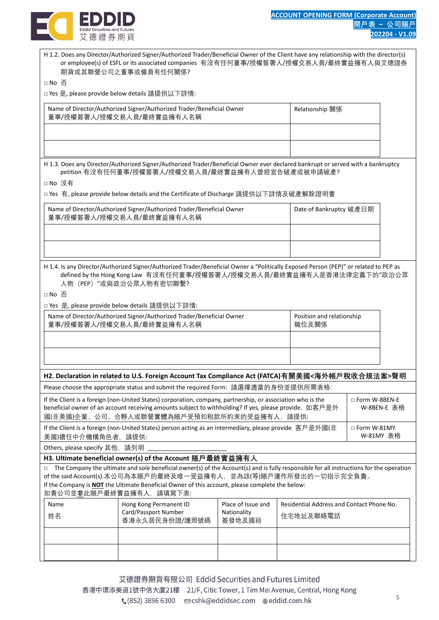

| H 1.2. Does any Director/Authorized Signer/Authorized Trader/Beneficial Owner of the Client have any relationship with the director(s)                                                                                                                              |                                                                                                                                                              |                                                                                                                                                |                                                                                                                                                                                                                                                                                                                                                                                                                                                                                                                                  |
|---------------------------------------------------------------------------------------------------------------------------------------------------------------------------------------------------------------------------------------------------------------------|--------------------------------------------------------------------------------------------------------------------------------------------------------------|------------------------------------------------------------------------------------------------------------------------------------------------|----------------------------------------------------------------------------------------------------------------------------------------------------------------------------------------------------------------------------------------------------------------------------------------------------------------------------------------------------------------------------------------------------------------------------------------------------------------------------------------------------------------------------------|
| or employee(s) of ESFL or its associated companies 有沒有任何董事/授權簽署人/授權交易人員/最終實益擁有人與艾德證券                                                                                                                                                                                |                                                                                                                                                              |                                                                                                                                                |                                                                                                                                                                                                                                                                                                                                                                                                                                                                                                                                  |
|                                                                                                                                                                                                                                                                     |                                                                                                                                                              |                                                                                                                                                |                                                                                                                                                                                                                                                                                                                                                                                                                                                                                                                                  |
|                                                                                                                                                                                                                                                                     |                                                                                                                                                              |                                                                                                                                                |                                                                                                                                                                                                                                                                                                                                                                                                                                                                                                                                  |
|                                                                                                                                                                                                                                                                     |                                                                                                                                                              | Relationship 關係                                                                                                                                |                                                                                                                                                                                                                                                                                                                                                                                                                                                                                                                                  |
|                                                                                                                                                                                                                                                                     |                                                                                                                                                              |                                                                                                                                                |                                                                                                                                                                                                                                                                                                                                                                                                                                                                                                                                  |
|                                                                                                                                                                                                                                                                     |                                                                                                                                                              |                                                                                                                                                |                                                                                                                                                                                                                                                                                                                                                                                                                                                                                                                                  |
|                                                                                                                                                                                                                                                                     |                                                                                                                                                              |                                                                                                                                                |                                                                                                                                                                                                                                                                                                                                                                                                                                                                                                                                  |
|                                                                                                                                                                                                                                                                     |                                                                                                                                                              |                                                                                                                                                |                                                                                                                                                                                                                                                                                                                                                                                                                                                                                                                                  |
|                                                                                                                                                                                                                                                                     |                                                                                                                                                              |                                                                                                                                                |                                                                                                                                                                                                                                                                                                                                                                                                                                                                                                                                  |
|                                                                                                                                                                                                                                                                     |                                                                                                                                                              |                                                                                                                                                |                                                                                                                                                                                                                                                                                                                                                                                                                                                                                                                                  |
|                                                                                                                                                                                                                                                                     |                                                                                                                                                              |                                                                                                                                                |                                                                                                                                                                                                                                                                                                                                                                                                                                                                                                                                  |
|                                                                                                                                                                                                                                                                     |                                                                                                                                                              |                                                                                                                                                |                                                                                                                                                                                                                                                                                                                                                                                                                                                                                                                                  |
|                                                                                                                                                                                                                                                                     |                                                                                                                                                              |                                                                                                                                                |                                                                                                                                                                                                                                                                                                                                                                                                                                                                                                                                  |
|                                                                                                                                                                                                                                                                     |                                                                                                                                                              |                                                                                                                                                |                                                                                                                                                                                                                                                                                                                                                                                                                                                                                                                                  |
| □ Yes 是, please provide below details 請提供以下詳情:                                                                                                                                                                                                                      |                                                                                                                                                              |                                                                                                                                                |                                                                                                                                                                                                                                                                                                                                                                                                                                                                                                                                  |
|                                                                                                                                                                                                                                                                     |                                                                                                                                                              |                                                                                                                                                |                                                                                                                                                                                                                                                                                                                                                                                                                                                                                                                                  |
| Name of Director/Authorized Signer/Authorized Trader/Beneficial Owner<br>董事/授權簽署人/授權交易人員/最終實益擁有人名稱                                                                                                                                                                  |                                                                                                                                                              | Position and relationship<br>職位及關係                                                                                                             |                                                                                                                                                                                                                                                                                                                                                                                                                                                                                                                                  |
|                                                                                                                                                                                                                                                                     |                                                                                                                                                              |                                                                                                                                                |                                                                                                                                                                                                                                                                                                                                                                                                                                                                                                                                  |
|                                                                                                                                                                                                                                                                     |                                                                                                                                                              |                                                                                                                                                |                                                                                                                                                                                                                                                                                                                                                                                                                                                                                                                                  |
|                                                                                                                                                                                                                                                                     |                                                                                                                                                              |                                                                                                                                                |                                                                                                                                                                                                                                                                                                                                                                                                                                                                                                                                  |
| H2. Declaration in related to U.S. Foreign Account Tax Compliance Act (FATCA)有關美國<海外帳戶稅收合規法案>聲明                                                                                                                                                                     |                                                                                                                                                              |                                                                                                                                                |                                                                                                                                                                                                                                                                                                                                                                                                                                                                                                                                  |
| Please choose the appropriate status and submit the required Form: 請選擇適當的身份並提供所需表格:                                                                                                                                                                                 |                                                                                                                                                              |                                                                                                                                                |                                                                                                                                                                                                                                                                                                                                                                                                                                                                                                                                  |
| If the Client is a foreign (non-United States) corporation, company, partnership, or association who is the<br>beneficial owner of an account receiving amounts subject to withholding? If yes, please provide. 如客戶是外<br>國(非美國)企業、公司、合夥人或聨營實體為賬戶受預扣稅款所約束的受益擁有人,請提供: |                                                                                                                                                              |                                                                                                                                                | □ Form W-8BEN-E<br>W-8BEN-E 表格                                                                                                                                                                                                                                                                                                                                                                                                                                                                                                   |
| If the Client is a foreign (non-United States) person acting as an intermediary, please provide 客戶是外國(非                                                                                                                                                             |                                                                                                                                                              |                                                                                                                                                | □ Form W-81MY.<br>W-81MY 表格                                                                                                                                                                                                                                                                                                                                                                                                                                                                                                      |
| 美國)擔任中介機構角色者,請提供:                                                                                                                                                                                                                                                   |                                                                                                                                                              |                                                                                                                                                |                                                                                                                                                                                                                                                                                                                                                                                                                                                                                                                                  |
| Others, please specify 其他, 請列明<br>H3. Ultimate beneficial owner(s) of the Account 賬戶最終實益擁有人                                                                                                                                                                         |                                                                                                                                                              |                                                                                                                                                |                                                                                                                                                                                                                                                                                                                                                                                                                                                                                                                                  |
| $\Box$ The Company the ultimate and sole beneficial owner(s) of the Account(s) and is fully responsible for all instructions for the operation<br>of the said Account(s).本公司為本賬戶的最終及唯一受益擁有人,並為該(等)賬戶運作所發出的一切指示完全負責。                                                 |                                                                                                                                                              |                                                                                                                                                |                                                                                                                                                                                                                                                                                                                                                                                                                                                                                                                                  |
| If the Company is <b>NOT</b> the Ultimate Beneficial Owner of this account, please complete the below:<br>如貴公司並非此賬戶最終實益擁有人,請填寫下表:                                                                                                                                   |                                                                                                                                                              |                                                                                                                                                |                                                                                                                                                                                                                                                                                                                                                                                                                                                                                                                                  |
| Hong Kong Permanent ID                                                                                                                                                                                                                                              | Place of Issue and                                                                                                                                           | Residential Address and Contact Phone No.                                                                                                      |                                                                                                                                                                                                                                                                                                                                                                                                                                                                                                                                  |
| Card/Passport Number<br>香港永久居民身份證/護照號碼                                                                                                                                                                                                                              | Nationality<br>簽發地及國籍                                                                                                                                        | 住宅地址及聯絡電話                                                                                                                                      |                                                                                                                                                                                                                                                                                                                                                                                                                                                                                                                                  |
|                                                                                                                                                                                                                                                                     |                                                                                                                                                              |                                                                                                                                                |                                                                                                                                                                                                                                                                                                                                                                                                                                                                                                                                  |
|                                                                                                                                                                                                                                                                     | 期貨或其聯營公司之董事或僱員有任何關係?<br>□ Yes 是, please provide below details 請提供以下詳情:<br>董事/授權簽署人/授權交易人員/最終實益擁有人名稱<br>董事/授權簽署人/授權交易人員/最終實益擁有人名稱<br>人物 (PEP) "或與政治公眾人物有密切聯繫? | Name of Director/Authorized Signer/Authorized Trader/Beneficial Owner<br>Name of Director/Authorized Signer/Authorized Trader/Beneficial Owner | H 1.3. Does any Director/Authorized Signer/Authorized Trader/Beneficial Owner ever declared bankrupt or served with a bankruptcy<br>petition 有沒有任何董事/授權簽署人/授權交易人員/最終實益擁有人曾經宣告破產或被申請破產?<br>□ Yes  有, please provide below details and the Certificate of Discharge 請提供以下詳情及破產解除證明書<br>Date of Bankruptcy 破產日期<br>H 1.4. Is any Director/Authorized Signer/Authorized Trader/Beneficial Owner a "Politically Exposed Person (PEP)" or related to PEP as<br>defined by the Hong Kong Law 有沒有任何董事/授權簽署人/授權交易人員/最終實益擁有人是香港法律定義下的"政治公眾 |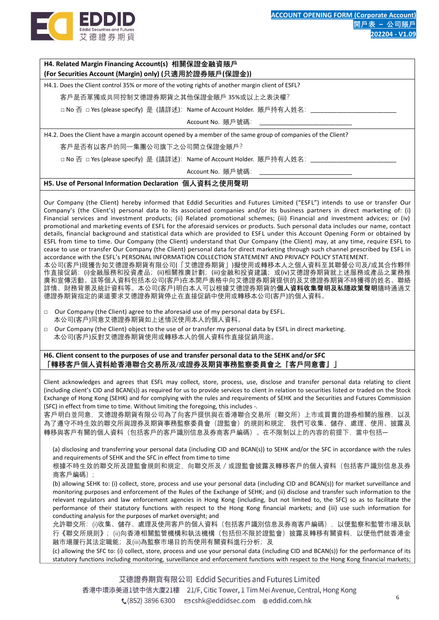

**H4. Related Margin Financing Account(s) 相關保證金融資賬戶**

**(For Securities Account (Margin) only) (只適用於證券賬戶(保證金))** H4.1. Does the Client control 35% or more of the voting rights of another margin client of ESFL? 客戶是否單獨或共同控制艾德證券期貨之其他保證金賬戶 35%或以上之表決權? □ No 否 □ Yes (please specify) 是 (請詳述): Name of Account Holder. 賬戶持有人姓名: Account No. 賬戶號碼: H4.2. Does the Client have a margin account opened by a member of the same group of companies of the Client? 客戶是否有以客戶的同一集團公司旗下之公司開立保證金賬戶? □ No 否 □ Yes (please specify) 是(請詳述):Name of Account Holder. 賬戶持有人姓名:\_\_\_\_\_\_\_\_\_ Account No. 賬戶號碼: **H5. Use of Personal Information Declaration 個人資料之使用聲明**

Our Company (the Client) hereby informed that Eddid Securities and Futures Limited ("ESFL") intends to use or transfer Our Company's (the Client's) personal data to its associated companies and/or its business partners in direct marketing of: (i) Financial services and investment products; (ii) Related promotional schemes; (iii) Financial and investment advices; or (iv) promotional and marketing events of ESFL for the aforesaid services or products. Such personal data includes our name, contact details, financial background and statistical data which are provided to ESFL under this Account Opening Form or obtained by ESFL from time to time. Our Company (the Client) understand that Our Company (the Client) may, at any time, require ESFL to cease to use or transfer Our Company (the Client) personal data for direct marketing through such channel prescribed by ESFL in accordance with the ESFL's PERSONAL INFORMATION COLLECTION STATEMENT AND PRIVACY POLICY STATEMENT. 本公司(客戶)現獲告知艾德證券期貨有限公司(「艾德證券期貨」)擬使用或轉移本人之個人資料至其聯營公司及/或其合作夥伴

作直接促銷:(i)金融服務和投資產品;(ii)相關推廣計劃;(iii)金融和投資建議;或(iv)艾德證券期貨就上述服務或產品之業務推 廣和宣傳活動。該等個人資料包括本公司(客戶)在本開戶表格中向艾德證券期貨提供的及艾德證券期貨不時獲得的姓名、聯絡 詳情、財務背景及統計資料等。本公司(客戶)明白本人可以根據艾德證券期貨的**個人資料收集聲明及私隱政策聲明**隨時通過艾 德證券期貨指定的渠道要求艾德證券期貨停止在直接促銷中使用或轉移本公司(客戶)的個人資料。

- $\Box$  Our Company (the Client) agree to the aforesaid use of my personal data by ESFL. 本公司(客戶)同意艾德證券期貨如上述情況使用本人的個人資料。
- $\Box$  Our Company (the Client) object to the use of or transfer my personal data by ESFL in direct marketing. 本公司(客戶)反對艾德證券期貨使用或轉移本人的個人資料作直接促銷用途。

**H6. Client consent to the purposes of use and transfer personal data to the SEHK and/or SFC 「轉移客戶個人資料給香港聯合交易所及/或證券及期貨事務監察委員會之『客戶同意書』」**

Client acknowledges and agrees that ESFL may collect, store, process, use, disclose and transfer personal data relating to client (including client's CID and BCAN(s)) as required for us to provide services to client in relation to securities listed or traded on the Stock Exchange of Hong Kong (SEHK) and for complying with the rules and requirements of SEHK and the Securities and Futures Commission (SFC) in effect from time to time. Without limiting the foregoing, this includes -.

客戶明白並同意,艾德證券期貨有限公司為了向客戶提供與在香港聯合交易所(聯交所)上市或買賣的證券相關的服務,以及 為了遵守不時生效的聯交所與證券及期貨事務監察委員會(證監會)的規則和規定,我們可收集、儲存、處理、使用、披露及 轉移與客戶有關的個人資料(包括客戶的客戶識別信息及券商客戶編碼)。在不限制以上的內容的前提下,當中包括一

(a) disclosing and transferring your personal data (including CID and BCAN(s)) to SEHK and/or the SFC in accordance with the rules and requirements of SEHK and the SFC in effect from time to time

根據不時生效的聯交所及證監會規則和規定,向聯交所及/或證監會披露及轉移客戶的個人資料(包括客戶識別信息及券 商客戶編碼) ;

(b) allowing SEHK to: (i) collect, store, process and use your personal data (including CID and BCAN(s)) for market surveillance and monitoring purposes and enforcement of the Rules of the Exchange of SEHK; and (ii) disclose and transfer such information to the relevant regulators and law enforcement agencies in Hong Kong (including, but not limited to, the SFC) so as to facilitate the performance of their statutory functions with respect to the Hong Kong financial markets; and (iii) use such information for conducting analysis for the purposes of market oversight; and

允許聯交所:(i)收集、儲存、處理及使用客戶的個人資料(包括客戶識別信息及券商客戶編碼),以便監察和監管市場及執 行《聯交所規則》;(ii)向香港相關監管機構和執法機構(包括但不限於證監會)披露及轉移有關資料,以便他們就香港金 融市場履行其法定職能; 及(iii)為監察市場目的而使用有關資料進行分析; 及

(c) allowing the SFC to: (i) collect, store, process and use your personal data (including CID and BCAN(s)) for the performance of its statutory functions including monitoring, surveillance and enforcement functions with respect to the Hong Kong financial markets;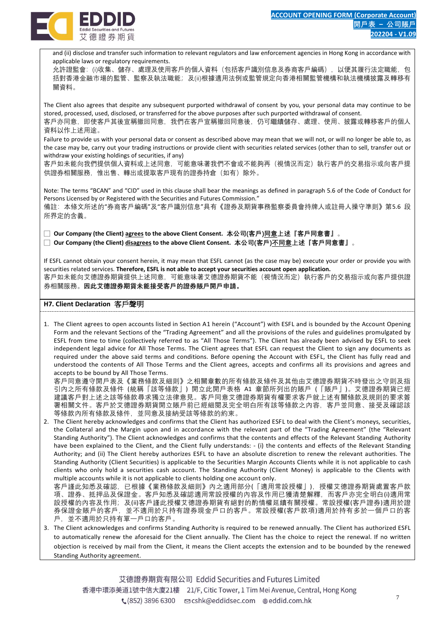

and (ii) disclose and transfer such information to relevant regulators and law enforcement agencies in Hong Kong in accordance with applicable laws or regulatory requirements. 允許證監會:(i)收集、儲存、處理及使用客戶的個人資料(包括客戶識別信息及券商客戶編碼),以便其履行法定職能,包 括對香港金融市場的監管、監察及執法職能;及(ii)根據適用法例或監管規定向香港相關監管機構和執法機構披露及轉移有 關資料。 The Client also agrees that despite any subsequent purported withdrawal of consent by you, your personal data may continue to be stored, processed, used, disclosed, or transferred for the above purposes after such purported withdrawal of consent. 客戶亦同意,即使客戶其後宣稱撤回同意,我們在客戶宣稱撤回同意後,仍可繼續儲存、處理、使用、披露或轉移客戶的個人 資料以作上述用途。 Failure to provide us with your personal data or consent as described above may mean that we will not, or will no longer be able to, as the case may be, carry out your trading instructions or provide client with securities related services (other than to sell, transfer out or withdraw your existing holdings of securities, if any) 客戶如未能向我們提供個人資料或上述同意,可能意味著我們不會或不能夠再(視情況而定)執行客戶的交易指示或向客戶提 供證券相關服務,惟出售、轉出或提取客戶現有的證券持倉(如有)除外。 Note: The terms "BCAN" and "CID" used in this clause shall bear the meanings as defined in paragraph 5.6 of the Code of Conduct for Persons Licensed by or Registered with the Securities and Futures Commission." 備註:本條文所述的"券商客戶編碼"及"客戶識別信息"具有《證券及期貨事務監察委員會持牌人或註冊人操守準則》第5.6 段 所界定的含義。 □ **Our Company (the Client) agrees to the above Client Consent. 本公司(客戶)同意上述『客戶同意書』**。 □ **Our Company (the Client) disagrees to the above Client Consent. 本公司(客戶)不同意上述『客戶同意書』**。 If ESFL cannot obtain your consent herein, it may mean that ESFL cannot (as the case may be) execute your order or provide you with securities related services. **Therefore, ESFL is not able to accept your securities account open application.** 客戶如未能向艾德證券期貨提供上述同意,可能意味著艾德證券期貨不能(視情況而定)執行客戶的交易指示或向客戶提供證 券相關服務。**因此艾德證券期貨未能接受客戶的證券賬戶開戶申請。 H7. Client Declaration** 客戶聲明 1. The Client agrees to open accounts listed in Section A1 herein ("Account") with ESFL and is bounded by the Account Opening Form and the relevant Sections of the "Trading Agreement" and all the provisions of the rules and guidelines promulgated by ESFL from time to time (collectively referred to as "All Those Terms"). The Client has already been advised by ESFL to seek independent legal advice for All Those Terms. The Client agrees that ESFL can request the Client to sign any documents as required under the above said terms and conditions. Before opening the Account with ESFL, the Client has fully read and understood the contents of All Those Terms and the Client agrees, accepts and confirms all its provisions and agrees and accepts to be bound by All Those Terms. 客戶同意遵守開戶表及《業務條款及細則》之相關章數的所有條款及條件及其他由艾德證券期貨不時發出之守則及指 引內之所有條款及條件 (統稱「該等條款」) 開立此開戶表格 A1 章節所列出的賬戶 (「賬戶」)。艾德證券期貨已經 建議客戶對上述之該等條款尋求獨立法律意見。客戶同意艾德證券期貨有權要求客戶就上述有關條款及規則的要求簽 署相關文件。客戶於艾德證券期貨開立賬戶前已經細閱及完全明白所有該等條款之內容,客戶並同意、接受及確認該 等條款內所有條款及條件,並同意及接納受該等條款的約束。 2. The Client hereby acknowledges and confirms that the Client has authorized ESFL to deal with the Client's moneys, securities, the Collateral and the Margin upon and in accordance with the relevant part of the "Trading Agreement" (the "Relevant Standing Authority"). The Client acknowledges and confirms that the contents and effects of the Relevant Standing Authority have been explained to the Client, and the Client fully understands: - (i) the contents and effects of the Relevant Standing Authority; and (ii) The Client hereby authorizes ESFL to have an absolute discretion to renew the relevant authorities. The Standing Authority (Client Securities) is applicable to the Securities Margin Accounts Clients while it is not applicable to cash clients who only hold a securities cash account. The Standing Authority (Client Money) is applicable to the Clients with multiple accounts while it is not applicable to clients holding one account only. 客戶謹此知悉及確認,已根據《業務條款及細則》內之適用部分(「適用常設授權」),授權艾德證券期貨處置客戶款 項、證券、抵押品及保證金。客戶知悉及確認適用常設授權的內容及作用已獲清楚解釋,而客戶亦完全明白(i)適用常 設授權的內容及作用;及(ii)客戶謹此授權艾德證券期貨有絕對的酌情權延續有關授權。常設授權(客戶證券)適用於證 券保證金賬戶的客戶,並不適用於只持有證券現金戶口的客戶。常設授權(客戶款項)適用於持有多於一個戶口的客 戶,並不適用於只持有單一戶口的客戶。 3. The Client acknowledges and confirms Standing Authority is required to be renewed annually. The Client has authorized ESFL to automatically renew the aforesaid for the Client annually. The Client has the choice to reject the renewal. If no written objection is received by mail from the Client, it means the Client accepts the extension and to be bounded by the renewed Standing Authority agreement.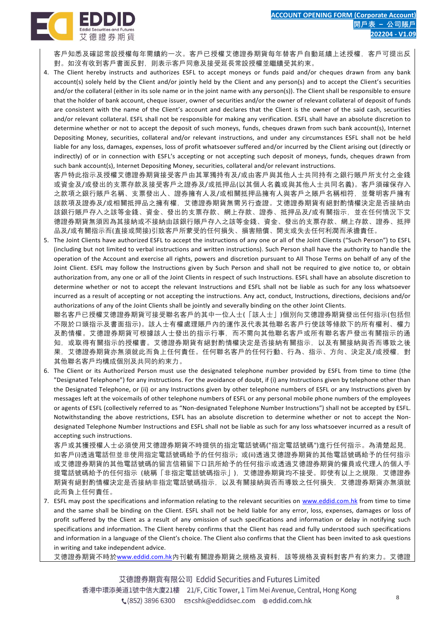

客戶知悉及確認常設授權每年需續約一次。客戶已授權艾德證券期貨每年替客戶自動延續上述授權,客戶可提出反 對。如沒有收到客戶書面反對,則表示客戶同意及接受延長常設授權並繼續受其約束。

4. The Client hereby instructs and authorizes ESFL to accept moneys or funds paid and/or cheques drawn from any bank account(s) solely held by the Client and/or jointly held by the Client and any person(s) and to accept the Client's securities and/or the collateral (either in its sole name or in the joint name with any person(s)). The Client shall be responsible to ensure that the holder of bank account, cheque issuer, owner of securities and/or the owner of relevant collateral of deposit of funds are consistent with the name of the Client's account and declares that the Client is the owner of the said cash, securities and/or relevant collateral. ESFL shall not be responsible for making any verification. ESFL shall have an absolute discretion to determine whether or not to accept the deposit of such moneys, funds, cheques drawn from such bank account(s), Internet Depositing Money, securities, collateral and/or relevant instructions, and under any circumstances ESFL shall not be held liable for any loss, damages, expenses, loss of profit whatsoever suffered and/or incurred by the Client arising out (directly or indirectly) of or in connection with ESFL's accepting or not accepting such deposit of moneys, funds, cheques drawn from such bank account(s), Internet Depositing Money, securities, collateral and/or relevant instructions.

客戶特此指示及授權艾德證券期貨接受客戶由其單獨持有及/或由客戶與其他人士共同持有之銀行賬戶所支付之金錢 或資金及/或發出的支票存款及接受客戶之證券及/或抵押品(以其個人名義或與其他人士共同名義)。客戶須確保存入 之款項之銀行賬戶名稱、支票發出人、證券擁有人及/或相關抵押品擁有人與客戶之賬戶名稱相符,並聲明客戶擁有 該款項及證券及/或相關抵押品之擁有權,艾德證券期貨無需另行查證。艾德證券期貨有絕對酌情權決定是否接納由 該銀行賬戶存入之該等金錢、資金、發出的支票存款、網上存款、證券、抵押品及/或有關指示,並在任何情況下艾 德證券期貨無須因為其接納或不接納由該銀行賬戶存入之該等金錢、資金、發出的支票存款、網上存款、證券、抵押 品及/或有關指示而(直接或間接)引致客戶所蒙受的任何損失、損害賠償、開支或失去任何利潤而承擔責任。

5. The Joint Clients have authorized ESFL to accept the instructions of any one or all of the Joint Clients ("Such Person") to ESFL (including but not limited to verbal instructions and written instructions). Such Person shall have the authority to handle the operation of the Account and exercise all rights, powers and discretion pursuant to All Those Terms on behalf of any of the Joint Client. ESFL may follow the Instructions given by Such Person and shall not be required to give notice to, or obtain authorization from, any one or all of the Joint Clients in respect of such Instructions. ESFL shall have an absolute discretion to determine whether or not to accept the relevant Instructions and ESFL shall not be liable as such for any loss whatsoever incurred as a result of accepting or not accepting the instructions. Any act, conduct, Instructions, directions, decisions and/or authorizations of any of the Joint Clients shall be jointly and severally binding on the other Joint Clients.

聯名客戶已授權艾德證券期貨可接受聯名客戶的其中一位人士(「該人士」)個別向艾德證券期貨發出任何指示(包括但 不限於口頭指示及書面指示)。該人士有權處理賬戶內的運作及代表其他聯名客戶行使該等條款下的所有權利、權力 及酌情權。艾德證券期貨可根據該人士發出的指示行事,而不需向其他聯名客戶或所有聯名客戶發出有關指示的通 知,或取得有關指示的授權書。艾德證券期貨有絕對酌情權決定是否接納有關指示,以及有關接納與否而導致之後 果,艾德證券期貨亦無須就此而負上任何責任。任何聯名客戶的任何行動、行為、指示、方向、決定及/或授權,對 其他聯名客戶均構成個別及共同的約束力。

6. The Client or its Authorized Person must use the designated telephone number provided by ESFL from time to time (the "Designated Telephone") for any instructions. For the avoidance of doubt, if (i) any Instructions given by telephone other than the Designated Telephone, or (ii) or any Instructions given by other telephone numbers of ESFL or any Instructions given by messages left at the voicemails of other telephone numbers of ESFL or any personal mobile phone numbers of the employees or agents of ESFL (collectively referred to as "Non-designated Telephone Number Instructions") shall not be accepted by ESFL. Notwithstanding the above restrictions, ESFL has an absolute discretion to determine whether or not to accept the Nondesignated Telephone Number Instructions and ESFL shall not be liable as such for any loss whatsoever incurred as a result of accepting such instructions.

客戶或其獲授權人士必須使用艾德證券期貨不時提供的指定電話號碼("指定電話號碼")進行任何指示。為清楚起見, 如客戶(i)透過電話但並非使用指定電話號碼給予的任何指示; 或(ii)透過艾德證券期貨的其他電話號碼給予的任何指示 或艾德證券期貨的其他電話號碼的留言信箱留下口訊所給予的任何指示或透過艾德證券期貨的僱員或代理人的個人手 提電話號碼給予的任何指示 (統稱「非指定電話號碼指示」),艾德證券期貨均不接受。即使有以上之規限,艾德證券 期貨有絕對酌情權決定是否接納非指定電話號碼指示,以及有關接納與否而導致之任何損失,艾德證券期貨亦無須就 此而負上任何責任。

7. ESFL may post the specifications and information relating to the relevant securities on<www.eddid.com.hk> from time to time and the same shall be binding on the Client. ESFL shall not be held liable for any error, loss, expenses, damages or loss of profit suffered by the Client as a result of any omission of such specifications and information or delay in notifying such specifications and information. The Client hereby confirms that the Client has read and fully understood such specifications and information in a language of the Client's choice. The Client also confirms that the Client has been invited to ask questions in writing and take independent advice.

艾德證券期貨不時於[www.eddid.com.hk](http://www.eddid.com.hk/)內刊載有關證券期貨之規格及資料,該等規格及資料對客戶有約束力。艾德證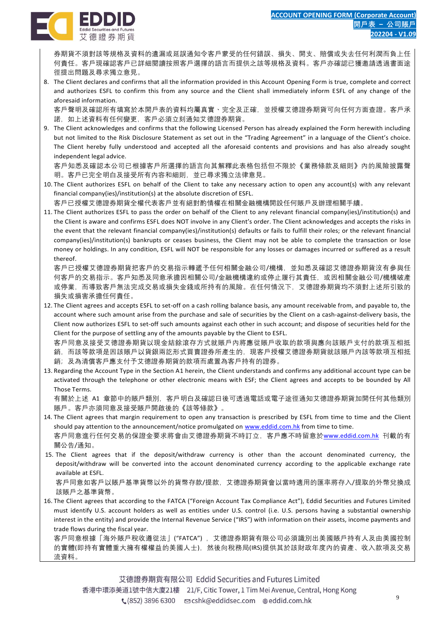

券期貨不須對該等規格及資料的遺漏或延誤通知令客戶蒙受的任何錯誤、損失、開支、賠償或失去任何利潤而負上任 何責任。客戶現確認客戶已詳細閱讀按照客戶選擇的語言而提供之該等規格及資料。客戶亦確認已獲邀請透過書面途 徑提出問題及尋求獨立意見。

8. The Client declares and confirms that all the information provided in this Account Opening Form is true, complete and correct and authorizes ESFL to confirm this from any source and the Client shall immediately inform ESFL of any change of the aforesaid information.

客戶聲明及確認所有填寫於本開戶表的資料均屬真實、完全及正確,並授權艾德證券期貨可向任何方面查證。客戶承 諾,如上述資料有任何變更,客戶必須立刻通知艾德證券期貨。

9. The Client acknowledges and confirms that the following Licensed Person has already explained the Form herewith including but not limited to the Risk Disclosure Statement as set out in the "Trading Agreement" in a language of the Client's choice. The Client hereby fully understood and accepted all the aforesaid contents and provisions and has also already sought independent legal advice.

客戶知悉及確認本公司已根據客戶所選擇的語言向其解釋此表格包括但不限於《業務條款及細則》內的風險披露聲 明。客戶已完全明白及接受所有內容和細則,並已尋求獨立法律意見。

10. The Client authorizes ESFL on behalf of the Client to take any necessary action to open any account(s) with any relevant financial company(ies)/institution(s) at the absolute discretion of ESFL.

客戶已授權艾德證券期貨全權代表客戶並有絕對酌情權在相關金融機構開設任何賬戶及辦理相關手續。

11. The Client authorizes ESFL to pass the order on behalf of the Client to any relevant financial company(ies)/institution(s) and the Client is aware and confirms ESFL does NOT involve in any Client's order. The Client acknowledges and accepts the risks in the event that the relevant financial company(ies)/institution(s) defaults or fails to fulfill their roles; or the relevant financial company(ies)/institution(s) bankrupts or ceases business, the Client may not be able to complete the transaction or lose money or holdings. In any condition, ESFL will NOT be responsible for any losses or damages incurred or suffered as a result thereof.

客戶已授權艾德證券期貨把客戶的交易指示轉遞予任何相關金融公司/機構,並知悉及確認艾德證券期貨沒有參與任 何客戶的交易指示。客戶知悉及同意承擔因相關公司/金融機構違約或停止履行其責任,或因相關金融公司/機構破產 或停業,而導致客戶無法完成交易或損失金錢或所持有的風險。在任何情況下,艾德證券期貨均不須對上述所引致的 損失或損害承擔任何責任。

12. The Client agrees and accepts ESFL to set-off on a cash rolling balance basis, any amount receivable from, and payable to, the account where such amount arise from the purchase and sale of securities by the Client on a cash-against-delivery basis, the Client now authorizes ESFL to set-off such amounts against each other in such account; and dispose of securities held for the Client for the purpose of settling any of the amounts payable by the Client to ESFL.

客戶同意及接受艾德證劵期貨以現金結餘滾存方式就賬戶內將應從賬戶收取的款項與應向該賬戶支付的款項互相抵 銷,而該等款項是因該賬戶以貨銀兩訖形式買賣證券所產生的,現客戶授權艾德證券期貨就該賬戶內該等款項互相抵 銷;及為清償客戶應支付予艾德證劵期貨的款項而處置為客戶持有的證券。

13. Regarding the Account Type in the Section A1 herein, the Client understands and confirms any additional account type can be activated through the telephone or other electronic means with ESF; the Client agrees and accepts to be bounded by All Those Terms.

有關於上述 A1 章節中的賬戶類別,客戶明白及確認日後可透過電話或電子途徑通知艾德證券期貨加開任何其他類別 賬戶。客戶亦須同意及接受賬戶開啟後的《該等條款》。

- 14. The Client agrees that margin requirement to open any transaction is prescribed by ESFL from time to time and the Client should pay attention to the announcement/notice promulgated on [www.eddid.com.hk](http://www.eddid.com.hk/) from time to time. 客戶同意進行任何交易的保證金要求將會由艾德證券期貨不時訂立,客戶應不時留意於<u>[www.eddid.com.hk](http://www.eddid.com.hk/)</u> 刊載的有
- 關公告/通知。 15. The Client agrees that if the deposit/withdraw currency is other than the account denominated currency, the deposit/withdraw will be converted into the account denominated currency according to the applicable exchange rate available at ESFL.

客戶同意如客戶以賬戶基準貨幣以外的貨幣存款/提款,艾德證券期貨會以當時適用的匯率將存入/提取的外幣兌換成 該賬戶之基準貨幣。

16. The Client agrees that according to the FATCA ("Foreign Account Tax Compliance Act"), Eddid Securities and Futures Limited must identify U.S. account holders as well as entities under U.S. control (i.e. U.S. persons having a substantial ownership interest in the entity) and provide the Internal Revenue Service ("IRS") with information on their assets, income payments and trade flows during the fiscal year.

客戶同意根據「海外賬戶稅收遵從法」("FATCA") ,艾德證券期貨有限公司必須識別出美國賬戶持有人及由美國控制 的實體(即持有實體重大擁有權權益的美國人士),然後向稅務局(IRS)提供其於該財政年度內的資產、收入款項及交易 流資料。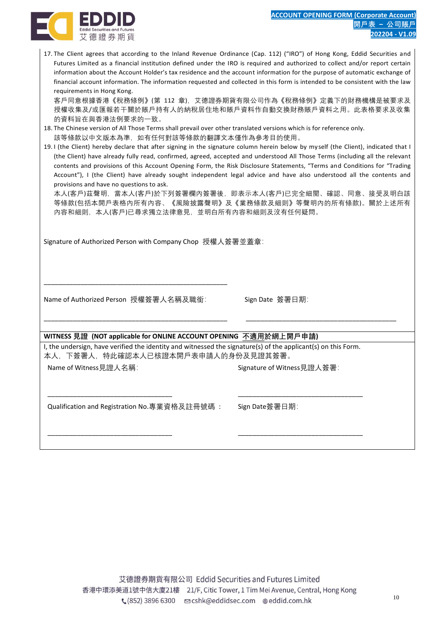

| 17. The Client agrees that according to the Inland Revenue Ordinance (Cap. 112) ("IRO") of Hong Kong, Eddid Securities and    |
|-------------------------------------------------------------------------------------------------------------------------------|
| Futures Limited as a financial institution defined under the IRO is required and authorized to collect and/or report certain  |
| information about the Account Holder's tax residence and the account information for the purpose of automatic exchange of     |
| financial account information. The information requested and collected in this form is intended to be consistent with the law |
| requirements in Hong Kong.                                                                                                    |
| 客戶同意根據香港《稅務條例》(第 112 章),艾德證券期貨有限公司作為《稅務條例》定義下的財務機構是被要求及                                                                       |
| 授權收集及/或匯報若干關於賬戶持有人的納稅居住地和賬戶資料作自動交換財務賬戶資料之用。此表格要求及收集                                                                           |

的資料旨在與香港法例要求的一致。

- 18. The Chinese version of All Those Terms shall prevail over other translated versions which is for reference only. 該等條款以中文版本為準,如有任何對該等條款的翻譯文本僅作為參考目的使用。
- 19. I (the Client) hereby declare that after signing in the signature column herein below by myself (the Client), indicated that I (the Client) have already fully read, confirmed, agreed, accepted and understood All Those Terms (including all the relevant contents and provisions of this Account Opening Form, the Risk Disclosure Statements, "Terms and Conditions for "Trading Account"), I (the Client) have already sought independent legal advice and have also understood all the contents and provisions and have no questions to ask.

本人(客戶)茲聲明,當本人(客戶)於下列簽署欄內簽署後,即表示本人(客戶)已完全細閱、確認、同意、接受及明白該 等條款(包括本開戶表格內所有內容、《風險披露聲明》及《業務條款及細則》等聲明內的所有條款)。關於上述所有 內容和細則,本人(客戶)已尋求獨立法律意見,並明白所有內容和細則及沒有任何疑問。

Signature of Authorized Person with Company Chop 授權人簽署並蓋章:

Name of Authorized Person 授權簽署人名稱及職銜: Sign Date 簽署日期:

\_\_\_\_\_\_\_\_\_\_\_\_\_\_\_\_\_\_\_\_\_\_\_\_\_\_\_\_\_\_\_\_\_\_\_\_\_\_\_\_\_\_\_\_\_\_\_\_\_\_

**WITNESS 見證 (NOT applicable for ONLINE ACCOUNT OPENING 不適用於網上開戶申請)**

I, the undersign, have verified the identity and witnessed the signature(s) of the applicant(s) on this Form. 本人,下簽署人,特此確認本人已核證本開戶表申請人的身份及見證其簽署。

\_\_\_\_\_\_\_\_\_\_\_\_\_\_\_\_\_\_\_\_\_\_\_\_\_\_\_\_\_\_\_\_\_\_\_\_\_\_\_\_\_\_\_\_\_\_\_\_\_\_ \_\_\_\_\_\_\_\_\_\_\_\_\_\_\_\_\_\_\_\_\_\_\_\_\_\_\_\_\_\_\_\_\_\_\_\_\_\_\_\_\_

Name of Witness見證人名稱:

\_\_\_\_\_\_\_\_\_\_\_\_\_\_\_\_\_\_\_\_\_\_\_\_\_\_\_\_\_\_\_\_\_\_

\_\_\_\_\_\_\_\_\_\_\_\_\_\_\_\_\_\_\_\_\_\_\_\_\_\_\_\_\_\_\_\_\_\_

Signature of Witness見證人簽署:

\_\_\_\_\_\_\_\_\_\_\_\_\_\_\_\_\_\_\_\_\_\_\_\_\_\_\_\_\_\_\_\_\_\_

\_\_\_\_\_\_\_\_\_\_\_\_\_\_\_\_\_\_\_\_\_\_\_\_\_\_\_\_\_\_\_\_\_\_

Qualification and Registration No.專業資格及註冊號碼 :

Sign Date簽署日期: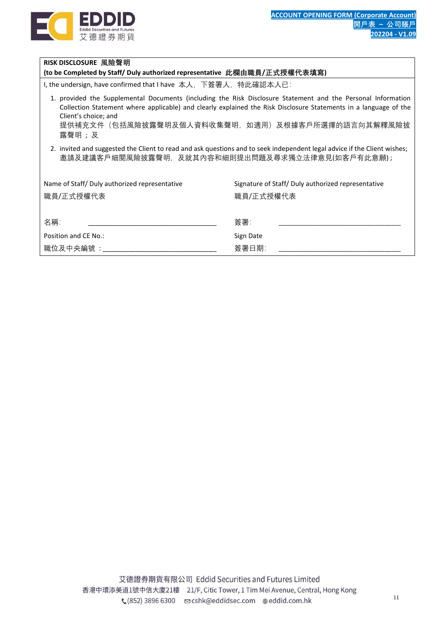

| RISK DISCLOSURE 風險聲明                                                                                                                                                                                                                                                                                                 |                                                   |  |  |  |
|----------------------------------------------------------------------------------------------------------------------------------------------------------------------------------------------------------------------------------------------------------------------------------------------------------------------|---------------------------------------------------|--|--|--|
| (to be Completed by Staff/ Duly authorized representative  此欄由職員/正式授權代表填寫)                                                                                                                                                                                                                                           |                                                   |  |  |  |
| I, the undersign, have confirmed that I have 本人, 下簽署人, 特此確認本人已:                                                                                                                                                                                                                                                      |                                                   |  |  |  |
| 1. provided the Supplemental Documents (including the Risk Disclosure Statement and the Personal Information<br>Collection Statement where applicable) and clearly explained the Risk Disclosure Statements in a language of the<br>Client's choice; and<br>提供補充文件(包括風險披露聲明及個人資料收集聲明,如適用)及根據客戶所選擇的語言向其解釋風險披<br>露聲明;及 |                                                   |  |  |  |
| 2. invited and suggested the Client to read and ask questions and to seek independent legal advice if the Client wishes;<br>邀請及建議客戶細閱風險披露聲明,及就其內容和細則提出問題及尋求獨立法律意見(如客戶有此意願);                                                                                                                                          |                                                   |  |  |  |
| Name of Staff/Duly authorized representative                                                                                                                                                                                                                                                                         | Signature of Staff/Duly authorized representative |  |  |  |
| 職員/正式授權代表                                                                                                                                                                                                                                                                                                            | 職員/正式授權代表                                         |  |  |  |
| 名稱:                                                                                                                                                                                                                                                                                                                  | 簽署∶                                               |  |  |  |
| Position and CE No.:                                                                                                                                                                                                                                                                                                 | Sign Date                                         |  |  |  |
| 職位及中央編號:                                                                                                                                                                                                                                                                                                             | 簽署日期:                                             |  |  |  |